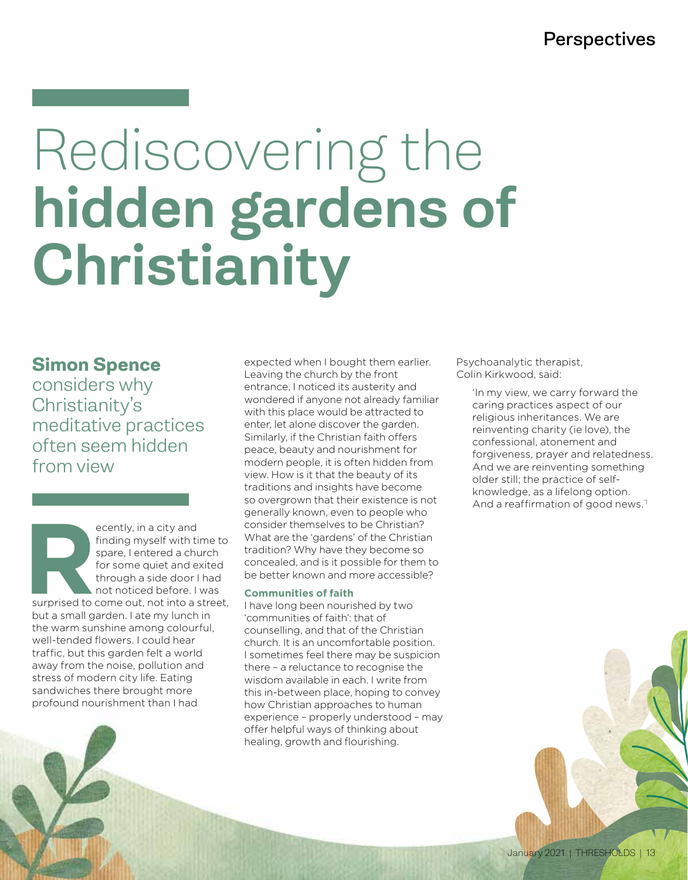## **Perspectives**

# Rediscovering the hidden gardens of Christianity

**Simon Spence**

considers why Christianity's meditative practices often seem hidden from view

ecently, in a city and<br>
finding myself with ti<br>
spare, I entered a chu<br>
for some quiet and e:<br>
through a side door I<br>
not noticed before. I<br>
surprised to come out, not into a s finding myself with time to spare, I entered a church for some quiet and exited through a side door I had not noticed before. I was surprised to come out, not into a street, but a small garden. I ate my lunch in the warm sunshine among colourful, well-tended flowers. I could hear traffic, but this garden felt a world away from the noise, pollution and stress of modern city life. Eating sandwiches there brought more profound nourishment than I had

expected when I bought them earlier. Leaving the church by the front entrance, I noticed its austerity and wondered if anyone not already familiar with this place would be attracted to enter, let alone discover the garden. Similarly, if the Christian faith offers peace, beauty and nourishment for modern people, it is often hidden from view. How is it that the beauty of its traditions and insights have become so overgrown that their existence is not generally known, even to people who consider themselves to be Christian? What are the 'gardens' of the Christian tradition? Why have they become so concealed, and is it possible for them to be better known and more accessible?

## **Communities of faith**

I have long been nourished by two 'communities of faith': that of counselling, and that of the Christian church. It is an uncomfortable position. I sometimes feel there may be suspicion there – a reluctance to recognise the wisdom available in each. I write from this in-between place, hoping to convey how Christian approaches to human experience – properly understood – may offer helpful ways of thinking about healing, growth and flourishing.

Psychoanalytic therapist, Colin Kirkwood, said:

> 'In my view, we carry forward the caring practices aspect of our religious inheritances. We are reinventing charity (ie love), the confessional, atonement and forgiveness, prayer and relatedness. And we are reinventing something older still; the practice of selfknowledge, as a lifelong option. And a reaffirmation of good news.'1

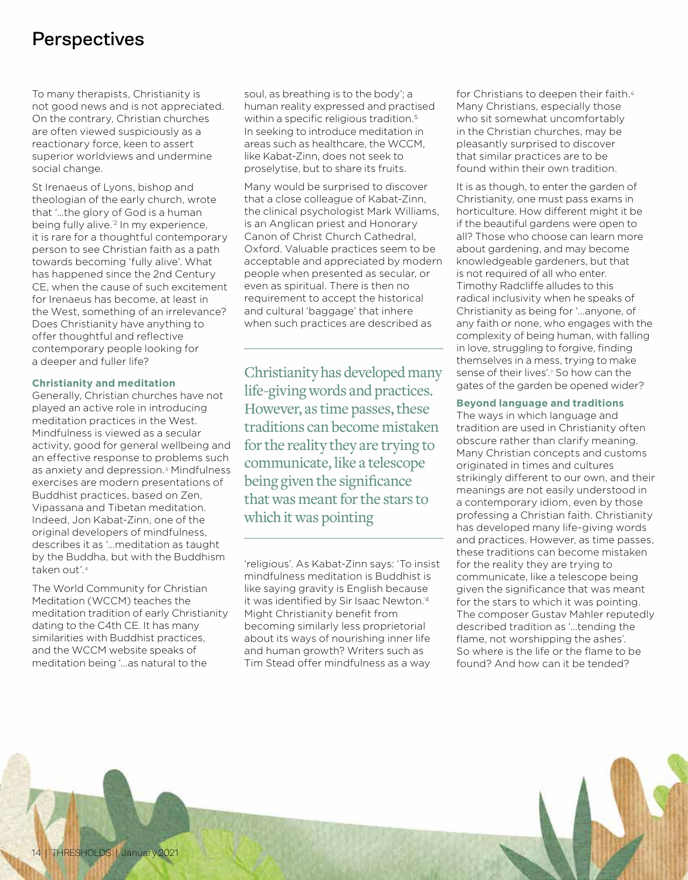## **Perspectives**

To many therapists, Christianity is not good news and is not appreciated. On the contrary, Christian churches are often viewed suspiciously as a reactionary force, keen to assert superior worldviews and undermine social change.

St Irenaeus of Lyons, bishop and theologian of the early church, wrote that '…the glory of God is a human being fully alive.<sup>2</sup> In my experience, it is rare for a thoughtful contemporary person to see Christian faith as a path towards becoming 'fully alive'. What has happened since the 2nd Century CE, when the cause of such excitement for Irenaeus has become, at least in the West, something of an irrelevance? Does Christianity have anything to offer thoughtful and reflective contemporary people looking for a deeper and fuller life?

#### **Christianity and meditation**

Generally, Christian churches have not played an active role in introducing meditation practices in the West. Mindfulness is viewed as a secular activity, good for general wellbeing and an effective response to problems such as anxiety and depression.<sup>3</sup> Mindfulness exercises are modern presentations of Buddhist practices, based on Zen, Vipassana and Tibetan meditation. Indeed, Jon Kabat-Zinn, one of the original developers of mindfulness, describes it as '…meditation as taught by the Buddha, but with the Buddhism taken out'.4

The World Community for Christian Meditation (WCCM) teaches the meditation tradition of early Christianity dating to the C4th CE. It has many similarities with Buddhist practices, and the WCCM website speaks of meditation being '…as natural to the

soul, as breathing is to the body'; a human reality expressed and practised within a specific religious tradition.<sup>5</sup> In seeking to introduce meditation in areas such as healthcare, the WCCM, like Kabat-Zinn, does not seek to proselytise, but to share its fruits.

Many would be surprised to discover that a close colleague of Kabat-Zinn, the clinical psychologist Mark Williams, is an Anglican priest and Honorary Canon of Christ Church Cathedral, Oxford. Valuable practices seem to be acceptable and appreciated by modern people when presented as secular, or even as spiritual. There is then no requirement to accept the historical and cultural 'baggage' that inhere when such practices are described as

Christianity has developed many life-giving words and practices. However, as time passes, these traditions can become mistaken for the reality they are trying to communicate, like a telescope being given the significance that was meant for the stars to which it was pointing

'religious'. As Kabat-Zinn says: 'To insist mindfulness meditation is Buddhist is like saying gravity is English because it was identified by Sir Isaac Newton.'4 Might Christianity benefit from becoming similarly less proprietorial about its ways of nourishing inner life and human growth? Writers such as Tim Stead offer mindfulness as a way

for Christians to deepen their faith.<sup>6</sup> Many Christians, especially those who sit somewhat uncomfortably in the Christian churches, may be pleasantly surprised to discover that similar practices are to be found within their own tradition.

It is as though, to enter the garden of Christianity, one must pass exams in horticulture. How different might it be if the beautiful gardens were open to all? Those who choose can learn more about gardening, and may become knowledgeable gardeners, but that is not required of all who enter. Timothy Radcliffe alludes to this radical inclusivity when he speaks of Christianity as being for '...anyone, of any faith or none, who engages with the complexity of being human, with falling in love, struggling to forgive, finding themselves in a mess, trying to make sense of their lives'.7 So how can the gates of the garden be opened wider?

## **Beyond language and traditions**

The ways in which language and tradition are used in Christianity often obscure rather than clarify meaning. Many Christian concepts and customs originated in times and cultures strikingly different to our own, and their meanings are not easily understood in a contemporary idiom, even by those professing a Christian faith. Christianity has developed many life-giving words and practices. However, as time passes, these traditions can become mistaken for the reality they are trying to communicate, like a telescope being given the significance that was meant for the stars to which it was pointing. The composer Gustav Mahler reputedly described tradition as '…tending the flame, not worshipping the ashes'. So where is the life or the flame to be found? And how can it be tended?